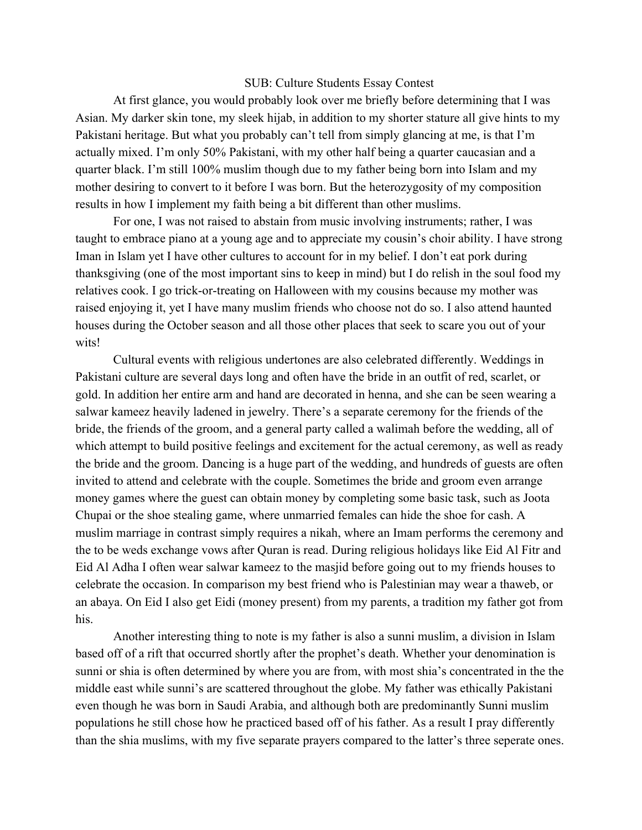## SUB: Culture Students Essay Contest

At first glance, you would probably look over me briefly before determining that I was Asian. My darker skin tone, my sleek hijab, in addition to my shorter stature all give hints to my Pakistani heritage. But what you probably can't tell from simply glancing at me, is that I'm actually mixed. I'm only 50% Pakistani, with my other half being a quarter caucasian and a quarter black. I'm still 100% muslim though due to my father being born into Islam and my mother desiring to convert to it before I was born. But the heterozygosity of my composition results in how I implement my faith being a bit different than other muslims.

For one, I was not raised to abstain from music involving instruments; rather, I was taught to embrace piano at a young age and to appreciate my cousin's choir ability. I have strong Iman in Islam yet I have other cultures to account for in my belief. I don't eat pork during thanksgiving (one of the most important sins to keep in mind) but I do relish in the soul food my relatives cook. I go trick-or-treating on Halloween with my cousins because my mother was raised enjoying it, yet I have many muslim friends who choose not do so. I also attend haunted houses during the October season and all those other places that seek to scare you out of your wits!

Cultural events with religious undertones are also celebrated differently. Weddings in Pakistani culture are several days long and often have the bride in an outfit of red, scarlet, or gold. In addition her entire arm and hand are decorated in henna, and she can be seen wearing a salwar kameez heavily ladened in jewelry. There's a separate ceremony for the friends of the bride, the friends of the groom, and a general party called a walimah before the wedding, all of which attempt to build positive feelings and excitement for the actual ceremony, as well as ready the bride and the groom. Dancing is a huge part of the wedding, and hundreds of guests are often invited to attend and celebrate with the couple. Sometimes the bride and groom even arrange money games where the guest can obtain money by completing some basic task, such as Joota Chupai or the shoe stealing game, where unmarried females can hide the shoe for cash. A muslim marriage in contrast simply requires a nikah, where an Imam performs the ceremony and the to be weds exchange vows after Quran is read. During religious holidays like Eid Al Fitr and Eid Al Adha I often wear salwar kameez to the masjid before going out to my friends houses to celebrate the occasion. In comparison my best friend who is Palestinian may wear a thaweb, or an abaya. On Eid I also get Eidi (money present) from my parents, a tradition my father got from his.

Another interesting thing to note is my father is also a sunni muslim, a division in Islam based off of a rift that occurred shortly after the prophet's death. Whether your denomination is sunni or shia is often determined by where you are from, with most shia's concentrated in the the middle east while sunni's are scattered throughout the globe. My father was ethically Pakistani even though he was born in Saudi Arabia, and although both are predominantly Sunni muslim populations he still chose how he practiced based off of his father. As a result I pray differently than the shia muslims, with my five separate prayers compared to the latter's three seperate ones.